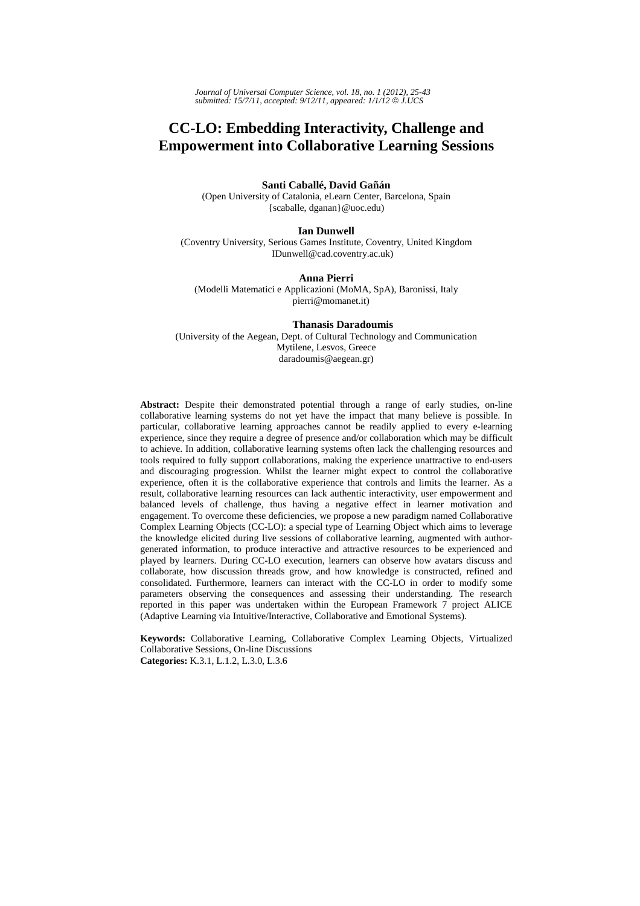# **CC-LO: Embedding Interactivity, Challenge and Empowerment into Collaborative Learning Sessions**

## **Santi Caballé, David Gañán**

(Open University of Catalonia, eLearn Center, Barcelona, Spain {scaballe, dganan}@uoc.edu)

#### **Ian Dunwell**

(Coventry University, Serious Games Institute, Coventry, United Kingdom IDunwell@cad.coventry.ac.uk)

### **Anna Pierri**

(Modelli Matematici e Applicazioni (MoMA, SpA), Baronissi, Italy pierri@momanet.it)

#### **Thanasis Daradoumis**

(University of the Aegean, Dept. of Cultural Technology and Communication Mytilene, Lesvos, Greece daradoumis@aegean.gr)

**Abstract:** Despite their demonstrated potential through a range of early studies, on-line collaborative learning systems do not yet have the impact that many believe is possible. In particular, collaborative learning approaches cannot be readily applied to every e-learning experience, since they require a degree of presence and/or collaboration which may be difficult to achieve. In addition, collaborative learning systems often lack the challenging resources and tools required to fully support collaborations, making the experience unattractive to end-users and discouraging progression. Whilst the learner might expect to control the collaborative experience, often it is the collaborative experience that controls and limits the learner. As a result, collaborative learning resources can lack authentic interactivity, user empowerment and balanced levels of challenge, thus having a negative effect in learner motivation and engagement. To overcome these deficiencies, we propose a new paradigm named Collaborative Complex Learning Objects (CC-LO): a special type of Learning Object which aims to leverage the knowledge elicited during live sessions of collaborative learning, augmented with authorgenerated information, to produce interactive and attractive resources to be experienced and played by learners. During CC-LO execution, learners can observe how avatars discuss and collaborate, how discussion threads grow, and how knowledge is constructed, refined and consolidated. Furthermore, learners can interact with the CC-LO in order to modify some parameters observing the consequences and assessing their understanding. The research reported in this paper was undertaken within the European Framework 7 project ALICE (Adaptive Learning via Intuitive/Interactive, Collaborative and Emotional Systems).

**Keywords:** Collaborative Learning, Collaborative Complex Learning Objects, Virtualized Collaborative Sessions, On-line Discussions **Categories:** K.3.1, L.1.2, L.3.0, L.3.6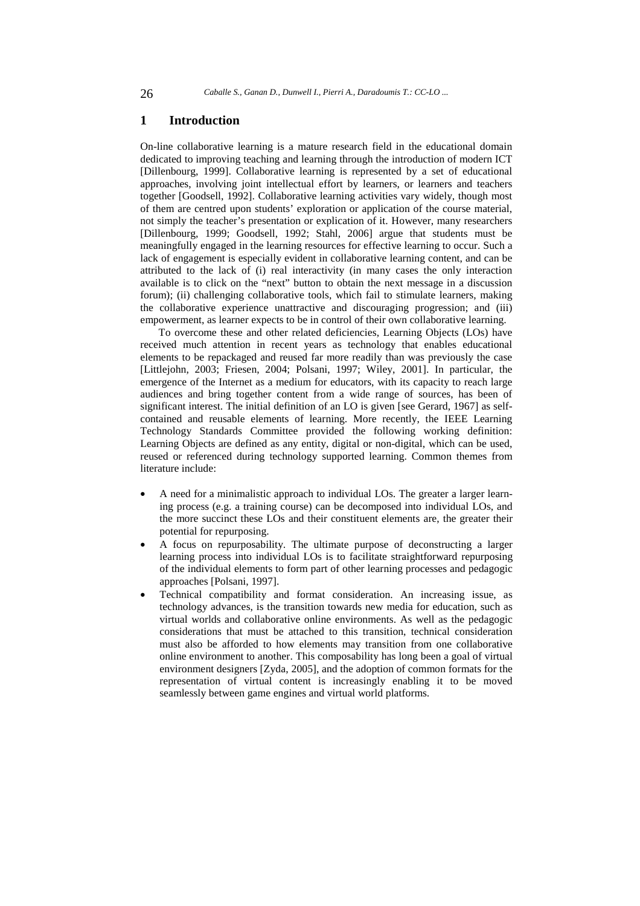### **1 Introduction**

On-line collaborative learning is a mature research field in the educational domain dedicated to improving teaching and learning through the introduction of modern ICT [Dillenbourg, 1999]. Collaborative learning is represented by a set of educational approaches, involving joint intellectual effort by learners, or learners and teachers together [Goodsell, 1992]. Collaborative learning activities vary widely, though most of them are centred upon students' exploration or application of the course material, not simply the teacher's presentation or explication of it. However, many researchers [Dillenbourg, 1999; Goodsell, 1992; Stahl, 2006] argue that students must be meaningfully engaged in the learning resources for effective learning to occur. Such a lack of engagement is especially evident in collaborative learning content, and can be attributed to the lack of (i) real interactivity (in many cases the only interaction available is to click on the "next" button to obtain the next message in a discussion forum); (ii) challenging collaborative tools, which fail to stimulate learners, making the collaborative experience unattractive and discouraging progression; and (iii) empowerment, as learner expects to be in control of their own collaborative learning.

To overcome these and other related deficiencies, Learning Objects (LOs) have received much attention in recent years as technology that enables educational elements to be repackaged and reused far more readily than was previously the case [Littlejohn, 2003; Friesen, 2004; Polsani, 1997; Wiley, 2001]. In particular, the emergence of the Internet as a medium for educators, with its capacity to reach large audiences and bring together content from a wide range of sources, has been of significant interest. The initial definition of an LO is given [see Gerard, 1967] as selfcontained and reusable elements of learning. More recently, the IEEE Learning Technology Standards Committee provided the following working definition: Learning Objects are defined as any entity, digital or non-digital, which can be used, reused or referenced during technology supported learning. Common themes from literature include:

- A need for a minimalistic approach to individual LOs. The greater a larger learning process (e.g. a training course) can be decomposed into individual LOs, and the more succinct these LOs and their constituent elements are, the greater their potential for repurposing.
- A focus on repurposability. The ultimate purpose of deconstructing a larger learning process into individual LOs is to facilitate straightforward repurposing of the individual elements to form part of other learning processes and pedagogic approaches [Polsani, 1997].
- Technical compatibility and format consideration. An increasing issue, as technology advances, is the transition towards new media for education, such as virtual worlds and collaborative online environments. As well as the pedagogic considerations that must be attached to this transition, technical consideration must also be afforded to how elements may transition from one collaborative online environment to another. This composability has long been a goal of virtual environment designers [Zyda, 2005], and the adoption of common formats for the representation of virtual content is increasingly enabling it to be moved seamlessly between game engines and virtual world platforms.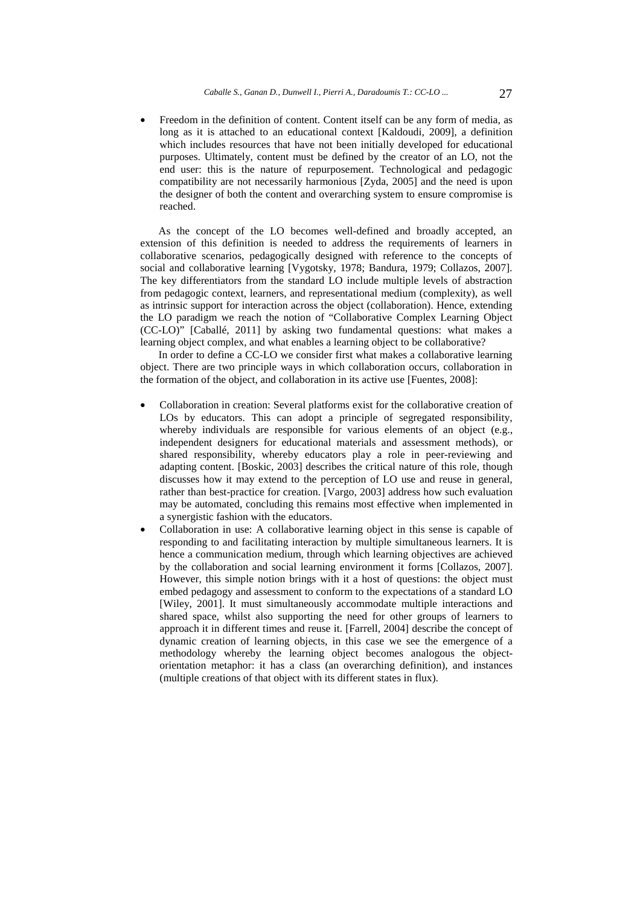• Freedom in the definition of content. Content itself can be any form of media, as long as it is attached to an educational context [Kaldoudi, 2009], a definition which includes resources that have not been initially developed for educational purposes. Ultimately, content must be defined by the creator of an LO, not the end user: this is the nature of repurposement. Technological and pedagogic compatibility are not necessarily harmonious [Zyda, 2005] and the need is upon the designer of both the content and overarching system to ensure compromise is reached.

As the concept of the LO becomes well-defined and broadly accepted, an extension of this definition is needed to address the requirements of learners in collaborative scenarios, pedagogically designed with reference to the concepts of social and collaborative learning [Vygotsky, 1978; Bandura, 1979; Collazos, 2007]. The key differentiators from the standard LO include multiple levels of abstraction from pedagogic context, learners, and representational medium (complexity), as well as intrinsic support for interaction across the object (collaboration). Hence, extending the LO paradigm we reach the notion of "Collaborative Complex Learning Object (CC-LO)" [Caballé, 2011] by asking two fundamental questions: what makes a learning object complex, and what enables a learning object to be collaborative?

In order to define a CC-LO we consider first what makes a collaborative learning object. There are two principle ways in which collaboration occurs, collaboration in the formation of the object, and collaboration in its active use [Fuentes, 2008]:

- Collaboration in creation: Several platforms exist for the collaborative creation of LOs by educators. This can adopt a principle of segregated responsibility, whereby individuals are responsible for various elements of an object (e.g., independent designers for educational materials and assessment methods), or shared responsibility, whereby educators play a role in peer-reviewing and adapting content. [Boskic, 2003] describes the critical nature of this role, though discusses how it may extend to the perception of LO use and reuse in general, rather than best-practice for creation. [Vargo, 2003] address how such evaluation may be automated, concluding this remains most effective when implemented in a synergistic fashion with the educators.
- Collaboration in use: A collaborative learning object in this sense is capable of responding to and facilitating interaction by multiple simultaneous learners. It is hence a communication medium, through which learning objectives are achieved by the collaboration and social learning environment it forms [Collazos, 2007]. However, this simple notion brings with it a host of questions: the object must embed pedagogy and assessment to conform to the expectations of a standard LO [Wiley, 2001]. It must simultaneously accommodate multiple interactions and shared space, whilst also supporting the need for other groups of learners to approach it in different times and reuse it. [Farrell, 2004] describe the concept of dynamic creation of learning objects, in this case we see the emergence of a methodology whereby the learning object becomes analogous the objectorientation metaphor: it has a class (an overarching definition), and instances (multiple creations of that object with its different states in flux).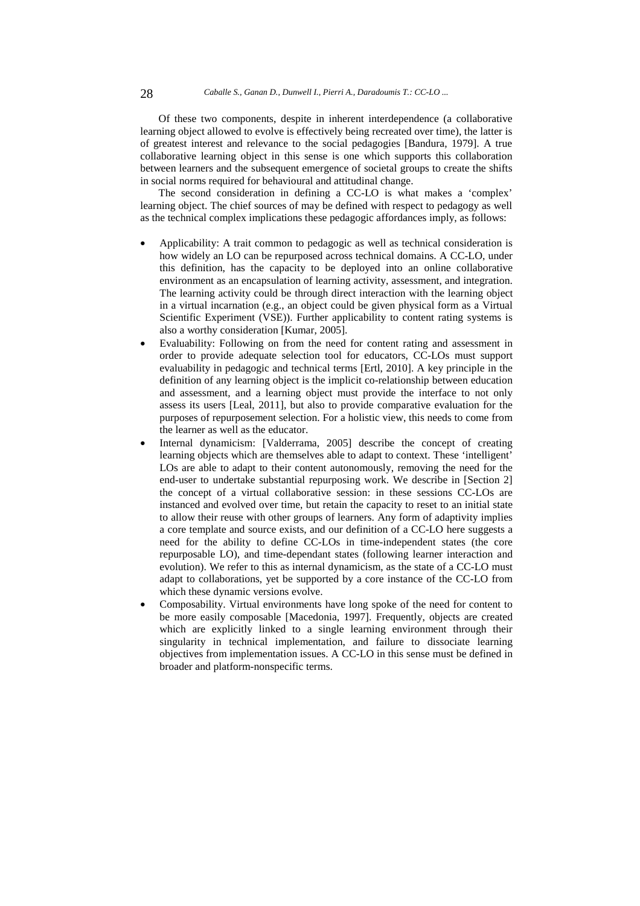Of these two components, despite in inherent interdependence (a collaborative learning object allowed to evolve is effectively being recreated over time), the latter is of greatest interest and relevance to the social pedagogies [Bandura, 1979]. A true collaborative learning object in this sense is one which supports this collaboration between learners and the subsequent emergence of societal groups to create the shifts in social norms required for behavioural and attitudinal change.

The second consideration in defining a CC-LO is what makes a 'complex' learning object. The chief sources of may be defined with respect to pedagogy as well as the technical complex implications these pedagogic affordances imply, as follows:

- Applicability: A trait common to pedagogic as well as technical consideration is how widely an LO can be repurposed across technical domains. A CC-LO, under this definition, has the capacity to be deployed into an online collaborative environment as an encapsulation of learning activity, assessment, and integration. The learning activity could be through direct interaction with the learning object in a virtual incarnation (e.g., an object could be given physical form as a Virtual Scientific Experiment (VSE)). Further applicability to content rating systems is also a worthy consideration [Kumar, 2005].
- Evaluability: Following on from the need for content rating and assessment in order to provide adequate selection tool for educators, CC-LOs must support evaluability in pedagogic and technical terms [Ertl, 2010]. A key principle in the definition of any learning object is the implicit co-relationship between education and assessment, and a learning object must provide the interface to not only assess its users [Leal, 2011], but also to provide comparative evaluation for the purposes of repurposement selection. For a holistic view, this needs to come from the learner as well as the educator.
- Internal dynamicism: [Valderrama, 2005] describe the concept of creating learning objects which are themselves able to adapt to context. These 'intelligent' LOs are able to adapt to their content autonomously, removing the need for the end-user to undertake substantial repurposing work. We describe in [Section 2] the concept of a virtual collaborative session: in these sessions CC-LOs are instanced and evolved over time, but retain the capacity to reset to an initial state to allow their reuse with other groups of learners. Any form of adaptivity implies a core template and source exists, and our definition of a CC-LO here suggests a need for the ability to define CC-LOs in time-independent states (the core repurposable LO), and time-dependant states (following learner interaction and evolution). We refer to this as internal dynamicism, as the state of a CC-LO must adapt to collaborations, yet be supported by a core instance of the CC-LO from which these dynamic versions evolve.
- Composability. Virtual environments have long spoke of the need for content to be more easily composable [Macedonia, 1997]. Frequently, objects are created which are explicitly linked to a single learning environment through their singularity in technical implementation, and failure to dissociate learning objectives from implementation issues. A CC-LO in this sense must be defined in broader and platform-nonspecific terms.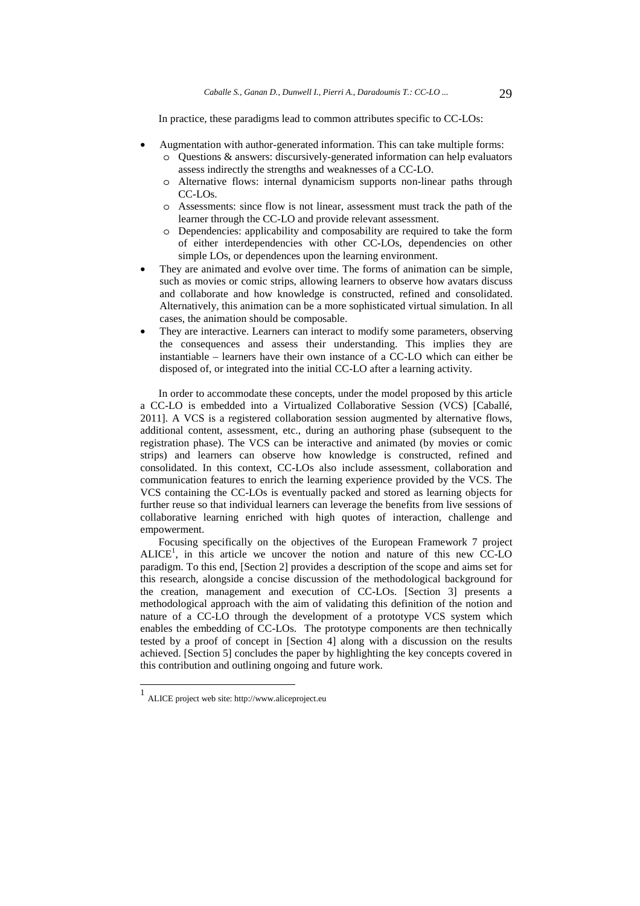In practice, these paradigms lead to common attributes specific to CC-LOs:

- Augmentation with author-generated information. This can take multiple forms: o Questions & answers: discursively-generated information can help evaluators assess indirectly the strengths and weaknesses of a CC-LO.
	- o Alternative flows: internal dynamicism supports non-linear paths through CC-LOs.
	- o Assessments: since flow is not linear, assessment must track the path of the learner through the CC-LO and provide relevant assessment.
	- o Dependencies: applicability and composability are required to take the form of either interdependencies with other CC-LOs, dependencies on other simple LOs, or dependences upon the learning environment.
- They are animated and evolve over time. The forms of animation can be simple, such as movies or comic strips, allowing learners to observe how avatars discuss and collaborate and how knowledge is constructed, refined and consolidated. Alternatively, this animation can be a more sophisticated virtual simulation. In all cases, the animation should be composable.
- They are interactive. Learners can interact to modify some parameters, observing the consequences and assess their understanding. This implies they are instantiable – learners have their own instance of a CC-LO which can either be disposed of, or integrated into the initial CC-LO after a learning activity.

In order to accommodate these concepts, under the model proposed by this article a CC-LO is embedded into a Virtualized Collaborative Session (VCS) [Caballé, 2011]. A VCS is a registered collaboration session augmented by alternative flows, additional content, assessment, etc., during an authoring phase (subsequent to the registration phase). The VCS can be interactive and animated (by movies or comic strips) and learners can observe how knowledge is constructed, refined and consolidated. In this context, CC-LOs also include assessment, collaboration and communication features to enrich the learning experience provided by the VCS. The VCS containing the CC-LOs is eventually packed and stored as learning objects for further reuse so that individual learners can leverage the benefits from live sessions of collaborative learning enriched with high quotes of interaction, challenge and empowerment.

Focusing specifically on the objectives of the European Framework 7 project  $ALICE<sup>1</sup>$ , in this article we uncover the notion and nature of this new CC-LO paradigm. To this end, [Section 2] provides a description of the scope and aims set for this research, alongside a concise discussion of the methodological background for the creation, management and execution of CC-LOs. [Section 3] presents a methodological approach with the aim of validating this definition of the notion and nature of a CC-LO through the development of a prototype VCS system which enables the embedding of CC-LOs. The prototype components are then technically tested by a proof of concept in [Section 4] along with a discussion on the results achieved. [Section 5] concludes the paper by highlighting the key concepts covered in this contribution and outlining ongoing and future work.

l

<sup>1</sup> ALICE project web site: http://www.aliceproject.eu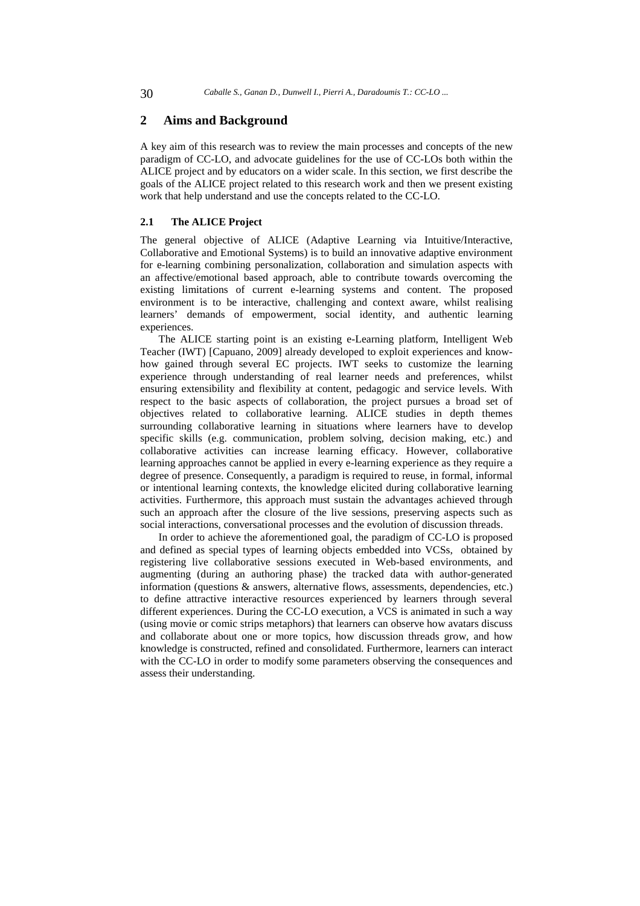### **2 Aims and Background**

A key aim of this research was to review the main processes and concepts of the new paradigm of CC-LO, and advocate guidelines for the use of CC-LOs both within the ALICE project and by educators on a wider scale. In this section, we first describe the goals of the ALICE project related to this research work and then we present existing work that help understand and use the concepts related to the CC-LO.

# **2.1 The ALICE Project**

The general objective of ALICE (Adaptive Learning via Intuitive/Interactive, Collaborative and Emotional Systems) is to build an innovative adaptive environment for e-learning combining personalization, collaboration and simulation aspects with an affective/emotional based approach, able to contribute towards overcoming the existing limitations of current e-learning systems and content. The proposed environment is to be interactive, challenging and context aware, whilst realising learners' demands of empowerment, social identity, and authentic learning experiences.

The ALICE starting point is an existing e-Learning platform, Intelligent Web Teacher (IWT) [Capuano, 2009] already developed to exploit experiences and knowhow gained through several EC projects. IWT seeks to customize the learning experience through understanding of real learner needs and preferences, whilst ensuring extensibility and flexibility at content, pedagogic and service levels. With respect to the basic aspects of collaboration, the project pursues a broad set of objectives related to collaborative learning. ALICE studies in depth themes surrounding collaborative learning in situations where learners have to develop specific skills (e.g. communication, problem solving, decision making, etc.) and collaborative activities can increase learning efficacy. However, collaborative learning approaches cannot be applied in every e-learning experience as they require a degree of presence. Consequently, a paradigm is required to reuse, in formal, informal or intentional learning contexts, the knowledge elicited during collaborative learning activities. Furthermore, this approach must sustain the advantages achieved through such an approach after the closure of the live sessions, preserving aspects such as social interactions, conversational processes and the evolution of discussion threads.

In order to achieve the aforementioned goal, the paradigm of CC-LO is proposed and defined as special types of learning objects embedded into VCSs, obtained by registering live collaborative sessions executed in Web-based environments, and augmenting (during an authoring phase) the tracked data with author-generated information (questions & answers, alternative flows, assessments, dependencies, etc.) to define attractive interactive resources experienced by learners through several different experiences. During the CC-LO execution, a VCS is animated in such a way (using movie or comic strips metaphors) that learners can observe how avatars discuss and collaborate about one or more topics, how discussion threads grow, and how knowledge is constructed, refined and consolidated. Furthermore, learners can interact with the CC-LO in order to modify some parameters observing the consequences and assess their understanding.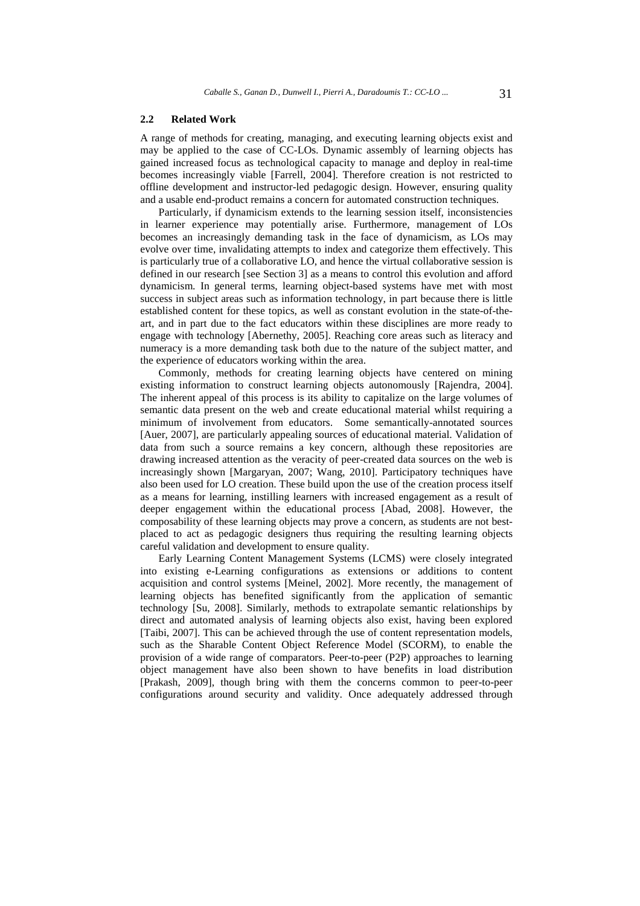#### **2.2 Related Work**

A range of methods for creating, managing, and executing learning objects exist and may be applied to the case of CC-LOs. Dynamic assembly of learning objects has gained increased focus as technological capacity to manage and deploy in real-time becomes increasingly viable [Farrell, 2004]. Therefore creation is not restricted to offline development and instructor-led pedagogic design. However, ensuring quality and a usable end-product remains a concern for automated construction techniques.

Particularly, if dynamicism extends to the learning session itself, inconsistencies in learner experience may potentially arise. Furthermore, management of LOs becomes an increasingly demanding task in the face of dynamicism, as LOs may evolve over time, invalidating attempts to index and categorize them effectively. This is particularly true of a collaborative LO, and hence the virtual collaborative session is defined in our research [see Section 3] as a means to control this evolution and afford dynamicism. In general terms, learning object-based systems have met with most success in subject areas such as information technology, in part because there is little established content for these topics, as well as constant evolution in the state-of-theart, and in part due to the fact educators within these disciplines are more ready to engage with technology [Abernethy, 2005]. Reaching core areas such as literacy and numeracy is a more demanding task both due to the nature of the subject matter, and the experience of educators working within the area.

Commonly, methods for creating learning objects have centered on mining existing information to construct learning objects autonomously [Rajendra, 2004]. The inherent appeal of this process is its ability to capitalize on the large volumes of semantic data present on the web and create educational material whilst requiring a minimum of involvement from educators. Some semantically-annotated sources [Auer, 2007], are particularly appealing sources of educational material. Validation of data from such a source remains a key concern, although these repositories are drawing increased attention as the veracity of peer-created data sources on the web is increasingly shown [Margaryan, 2007; Wang, 2010]. Participatory techniques have also been used for LO creation. These build upon the use of the creation process itself as a means for learning, instilling learners with increased engagement as a result of deeper engagement within the educational process [Abad, 2008]. However, the composability of these learning objects may prove a concern, as students are not bestplaced to act as pedagogic designers thus requiring the resulting learning objects careful validation and development to ensure quality.

Early Learning Content Management Systems (LCMS) were closely integrated into existing e-Learning configurations as extensions or additions to content acquisition and control systems [Meinel, 2002]. More recently, the management of learning objects has benefited significantly from the application of semantic technology [Su, 2008]. Similarly, methods to extrapolate semantic relationships by direct and automated analysis of learning objects also exist, having been explored [Taibi, 2007]. This can be achieved through the use of content representation models, such as the Sharable Content Object Reference Model (SCORM), to enable the provision of a wide range of comparators. Peer-to-peer (P2P) approaches to learning object management have also been shown to have benefits in load distribution [Prakash, 2009], though bring with them the concerns common to peer-to-peer configurations around security and validity. Once adequately addressed through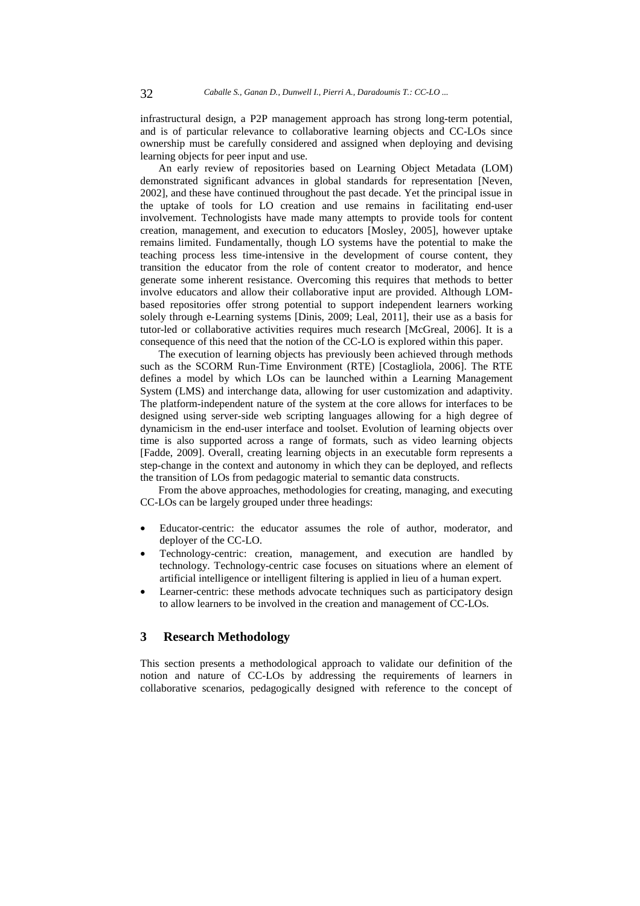infrastructural design, a P2P management approach has strong long-term potential, and is of particular relevance to collaborative learning objects and CC-LOs since ownership must be carefully considered and assigned when deploying and devising learning objects for peer input and use.

An early review of repositories based on Learning Object Metadata (LOM) demonstrated significant advances in global standards for representation [Neven, 2002], and these have continued throughout the past decade. Yet the principal issue in the uptake of tools for LO creation and use remains in facilitating end-user involvement. Technologists have made many attempts to provide tools for content creation, management, and execution to educators [Mosley, 2005], however uptake remains limited. Fundamentally, though LO systems have the potential to make the teaching process less time-intensive in the development of course content, they transition the educator from the role of content creator to moderator, and hence generate some inherent resistance. Overcoming this requires that methods to better involve educators and allow their collaborative input are provided. Although LOMbased repositories offer strong potential to support independent learners working solely through e-Learning systems [Dinis, 2009; Leal, 2011], their use as a basis for tutor-led or collaborative activities requires much research [McGreal, 2006]. It is a consequence of this need that the notion of the CC-LO is explored within this paper.

The execution of learning objects has previously been achieved through methods such as the SCORM Run-Time Environment (RTE) [Costagliola, 2006]. The RTE defines a model by which LOs can be launched within a Learning Management System (LMS) and interchange data, allowing for user customization and adaptivity. The platform-independent nature of the system at the core allows for interfaces to be designed using server-side web scripting languages allowing for a high degree of dynamicism in the end-user interface and toolset. Evolution of learning objects over time is also supported across a range of formats, such as video learning objects [Fadde, 2009]. Overall, creating learning objects in an executable form represents a step-change in the context and autonomy in which they can be deployed, and reflects the transition of LOs from pedagogic material to semantic data constructs.

From the above approaches, methodologies for creating, managing, and executing CC-LOs can be largely grouped under three headings:

- Educator-centric: the educator assumes the role of author, moderator, and deployer of the CC-LO.
- Technology-centric: creation, management, and execution are handled by technology. Technology-centric case focuses on situations where an element of artificial intelligence or intelligent filtering is applied in lieu of a human expert.
- Learner-centric: these methods advocate techniques such as participatory design to allow learners to be involved in the creation and management of CC-LOs.

# **3 Research Methodology**

This section presents a methodological approach to validate our definition of the notion and nature of CC-LOs by addressing the requirements of learners in collaborative scenarios, pedagogically designed with reference to the concept of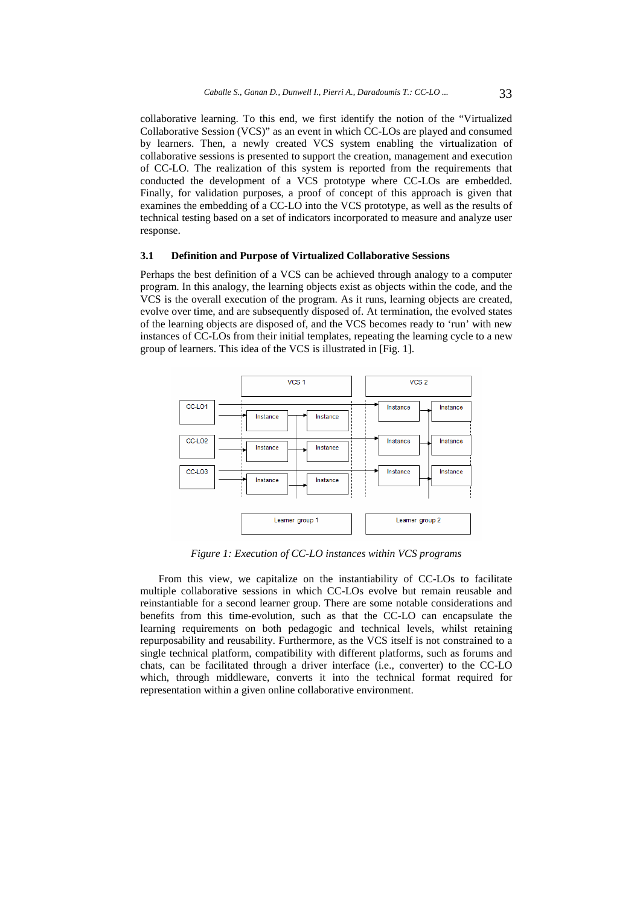collaborative learning. To this end, we first identify the notion of the "Virtualized Collaborative Session (VCS)" as an event in which CC-LOs are played and consumed by learners. Then, a newly created VCS system enabling the virtualization of collaborative sessions is presented to support the creation, management and execution of CC-LO. The realization of this system is reported from the requirements that conducted the development of a VCS prototype where CC-LOs are embedded. Finally, for validation purposes, a proof of concept of this approach is given that examines the embedding of a CC-LO into the VCS prototype, as well as the results of technical testing based on a set of indicators incorporated to measure and analyze user response.

#### **3.1 Definition and Purpose of Virtualized Collaborative Sessions**

Perhaps the best definition of a VCS can be achieved through analogy to a computer program. In this analogy, the learning objects exist as objects within the code, and the VCS is the overall execution of the program. As it runs, learning objects are created, evolve over time, and are subsequently disposed of. At termination, the evolved states of the learning objects are disposed of, and the VCS becomes ready to 'run' with new instances of CC-LOs from their initial templates, repeating the learning cycle to a new group of learners. This idea of the VCS is illustrated in [Fig. 1].



*Figure 1: Execution of CC-LO instances within VCS programs*

From this view, we capitalize on the instantiability of CC-LOs to facilitate multiple collaborative sessions in which CC-LOs evolve but remain reusable and reinstantiable for a second learner group. There are some notable considerations and benefits from this time-evolution, such as that the CC-LO can encapsulate the learning requirements on both pedagogic and technical levels, whilst retaining repurposability and reusability. Furthermore, as the VCS itself is not constrained to a single technical platform, compatibility with different platforms, such as forums and chats, can be facilitated through a driver interface (i.e., converter) to the CC-LO which, through middleware, converts it into the technical format required for representation within a given online collaborative environment.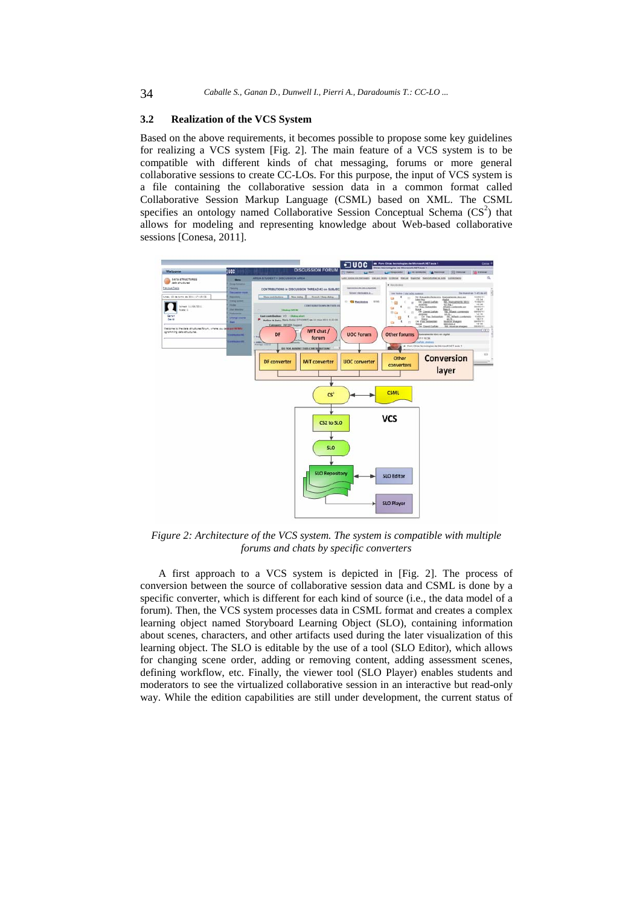#### **3.2 Realization of the VCS System**

Based on the above requirements, it becomes possible to propose some key guidelines for realizing a VCS system [Fig. 2]. The main feature of a VCS system is to be compatible with different kinds of chat messaging, forums or more general collaborative sessions to create CC-LOs. For this purpose, the input of VCS system is a file containing the collaborative session data in a common format called Collaborative Session Markup Language (CSML) based on XML. The CSML specifies an ontology named Collaborative Session Conceptual Schema  $(CS<sup>2</sup>)$  that allows for modeling and representing knowledge about Web-based collaborative sessions [Conesa, 2011].



*Figure 2: Architecture of the VCS system. The system is compatible with multiple forums and chats by specific converters*

A first approach to a VCS system is depicted in [Fig. 2]. The process of conversion between the source of collaborative session data and CSML is done by a specific converter, which is different for each kind of source (i.e., the data model of a forum). Then, the VCS system processes data in CSML format and creates a complex learning object named Storyboard Learning Object (SLO), containing information about scenes, characters, and other artifacts used during the later visualization of this learning object. The SLO is editable by the use of a tool (SLO Editor), which allows for changing scene order, adding or removing content, adding assessment scenes, defining workflow, etc. Finally, the viewer tool (SLO Player) enables students and moderators to see the virtualized collaborative session in an interactive but read-only way. While the edition capabilities are still under development, the current status of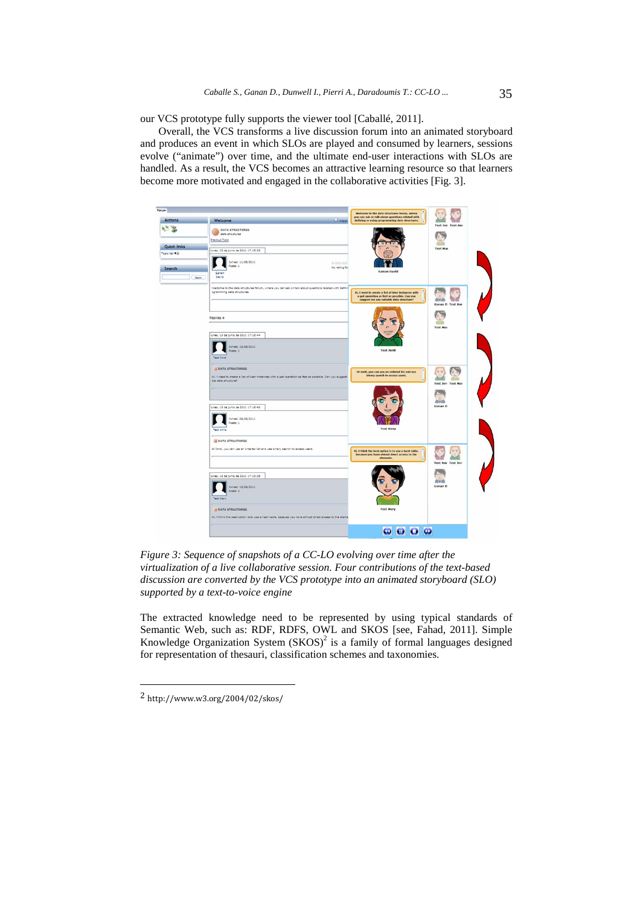our VCS prototype fully supports the viewer tool [Caballé, 2011].

Overall, the VCS transforms a live discussion forum into an animated storyboard and produces an event in which SLOs are played and consumed by learners, sessions evolve ("animate") over time, and the ultimate end-user interactions with SLOs are handled. As a result, the VCS becomes an attractive learning resource so that learners become more motivated and engaged in the collaborative activities [Fig. 3].



*Figure 3: Sequence of snapshots of a CC-LO evolving over time after the virtualization of a live collaborative session. Four contributions of the text-based discussion are converted by the VCS prototype into an animated storyboard (SLO) supported by a text-to-voice engine* 

The extracted knowledge need to be represented by using typical standards of Semantic Web, such as: RDF, RDFS, OWL and SKOS [see, Fahad, 2011]. Simple Knowledge Organization System  $(SKOS)^2$  is a family of formal languages designed for representation of thesauri, classification schemes and taxonomies.

l

<sup>2</sup> http://www.w3.org/2004/02/skos/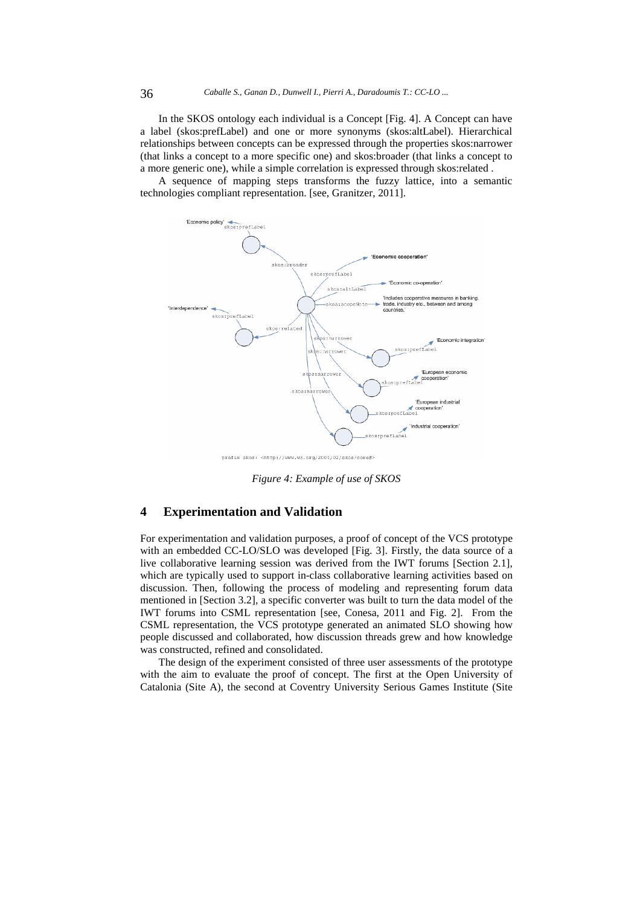In the SKOS ontology each individual is a Concept [Fig. 4]. A Concept can have a label (skos:prefLabel) and one or more synonyms (skos:altLabel). Hierarchical relationships between concepts can be expressed through the properties skos:narrower (that links a concept to a more specific one) and skos:broader (that links a concept to a more generic one), while a simple correlation is expressed through skos:related .

A sequence of mapping steps transforms the fuzzy lattice, into a semantic technologies compliant representation. [see, Granitzer, 2011].



*Figure 4: Example of use of SKOS* 

# **4 Experimentation and Validation**

For experimentation and validation purposes, a proof of concept of the VCS prototype with an embedded CC-LO/SLO was developed [Fig. 3]. Firstly, the data source of a live collaborative learning session was derived from the IWT forums [Section 2.1], which are typically used to support in-class collaborative learning activities based on discussion. Then, following the process of modeling and representing forum data mentioned in [Section 3.2], a specific converter was built to turn the data model of the IWT forums into CSML representation [see, Conesa, 2011 and Fig. 2]. From the CSML representation, the VCS prototype generated an animated SLO showing how people discussed and collaborated, how discussion threads grew and how knowledge was constructed, refined and consolidated.

The design of the experiment consisted of three user assessments of the prototype with the aim to evaluate the proof of concept. The first at the Open University of Catalonia (Site A), the second at Coventry University Serious Games Institute (Site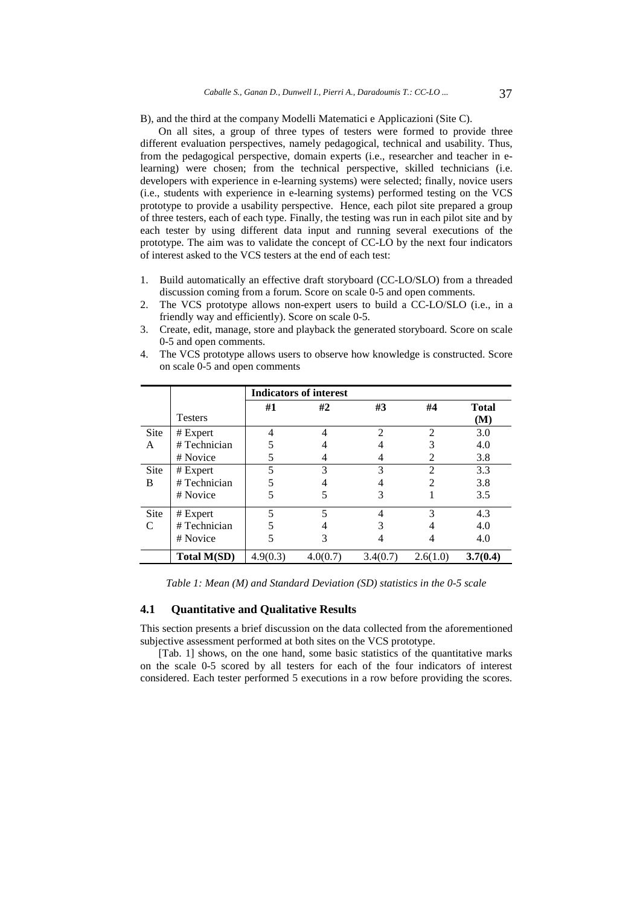B), and the third at the company Modelli Matematici e Applicazioni (Site C).

On all sites, a group of three types of testers were formed to provide three different evaluation perspectives, namely pedagogical, technical and usability. Thus, from the pedagogical perspective, domain experts (i.e., researcher and teacher in elearning) were chosen; from the technical perspective, skilled technicians (i.e. developers with experience in e-learning systems) were selected; finally, novice users (i.e., students with experience in e-learning systems) performed testing on the VCS prototype to provide a usability perspective. Hence, each pilot site prepared a group of three testers, each of each type. Finally, the testing was run in each pilot site and by each tester by using different data input and running several executions of the prototype. The aim was to validate the concept of CC-LO by the next four indicators of interest asked to the VCS testers at the end of each test:

- 1. Build automatically an effective draft storyboard (CC-LO/SLO) from a threaded discussion coming from a forum. Score on scale 0-5 and open comments.
- 2. The VCS prototype allows non-expert users to build a CC-LO/SLO (i.e., in a friendly way and efficiently). Score on scale 0-5.
- 3. Create, edit, manage, store and playback the generated storyboard. Score on scale 0-5 and open comments.

|               | <b>Indicators of interest</b> |          |          |                |                |                     |
|---------------|-------------------------------|----------|----------|----------------|----------------|---------------------|
|               | <b>Testers</b>                | #1       | #2       | #3             | #4             | <b>Total</b><br>(M) |
| Site          | # Expert                      | 4        | 4        | $\mathfrak{D}$ | $\overline{c}$ | 3.0                 |
| A             | # Technician                  |          |          |                | 3              | 4.0                 |
|               | # Novice                      |          |          | 4              | 2              | 3.8                 |
| Site          | # Expert                      | 5        | 3        | 3              | $\overline{2}$ | 3.3                 |
| B             | #Technician                   | 5        |          |                | $\mathfrak{D}$ | 3.8                 |
|               | # Novice                      | 5        |          | 3              |                | 3.5                 |
| Site          | # Expert                      | 5        |          | 4              | 3              | 4.3                 |
| $\mathcal{C}$ | #Technician                   | 5        |          | 3              |                | 4.0                 |
|               | # Novice                      | 5        |          |                |                | 4.0                 |
|               | <b>Total M(SD)</b>            | 4.9(0.3) | 4.0(0.7) | 3.4(0.7)       | 2.6(1.0)       | 3.7(0.4)            |

4. The VCS prototype allows users to observe how knowledge is constructed. Score on scale 0-5 and open comments

*Table 1: Mean (M) and Standard Deviation (SD) statistics in the 0-5 scale* 

### **4.1 Quantitative and Qualitative Results**

This section presents a brief discussion on the data collected from the aforementioned subjective assessment performed at both sites on the VCS prototype.

[Tab. 1] shows, on the one hand, some basic statistics of the quantitative marks on the scale 0-5 scored by all testers for each of the four indicators of interest considered. Each tester performed 5 executions in a row before providing the scores.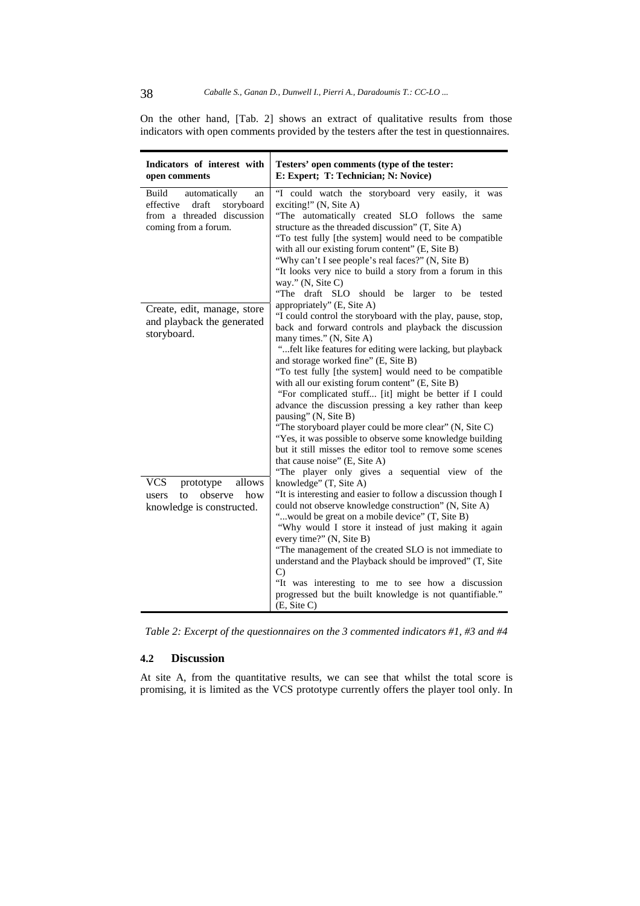On the other hand, [Tab. 2] shows an extract of qualitative results from those indicators with open comments provided by the testers after the test in questionnaires.

| Indicators of interest with<br>open comments                                                                           | Testers' open comments (type of the tester:<br>E: Expert; T: Technician; N: Novice)                                                                                                                                                                                                                                                                                                                                                                                                                                                                                                                                                                                                                                                                                                                                     |  |  |  |
|------------------------------------------------------------------------------------------------------------------------|-------------------------------------------------------------------------------------------------------------------------------------------------------------------------------------------------------------------------------------------------------------------------------------------------------------------------------------------------------------------------------------------------------------------------------------------------------------------------------------------------------------------------------------------------------------------------------------------------------------------------------------------------------------------------------------------------------------------------------------------------------------------------------------------------------------------------|--|--|--|
| Build<br>automatically<br>an<br>effective<br>draft<br>storyboard<br>from a threaded discussion<br>coming from a forum. | "I could watch the storyboard very easily, it was<br>exciting!" $(N, \text{ Site A})$<br>"The automatically created SLO follows the same<br>structure as the threaded discussion" (T, Site A)<br>"To test fully [the system] would need to be compatible<br>with all our existing forum content" (E, Site B)<br>"Why can't I see people's real faces?" (N, Site B)<br>"It looks very nice to build a story from a forum in this<br>way." (N, Site C)<br>"The draft SLO should be larger to be tested                                                                                                                                                                                                                                                                                                                    |  |  |  |
| Create, edit, manage, store<br>and playback the generated<br>storyboard.                                               | appropriately" (E, Site A)<br>"I could control the storyboard with the play, pause, stop,<br>back and forward controls and playback the discussion<br>many times." (N, Site A)<br>"felt like features for editing were lacking, but playback<br>and storage worked fine" (E, Site B)<br>"To test fully [the system] would need to be compatible<br>with all our existing forum content" (E, Site B)<br>"For complicated stuff [it] might be better if I could<br>advance the discussion pressing a key rather than keep<br>pausing" (N, Site B)<br>"The storyboard player could be more clear" (N, Site C)<br>"Yes, it was possible to observe some knowledge building<br>but it still misses the editor tool to remove some scenes<br>that cause noise" (E, Site A)<br>"The player only gives a sequential view of the |  |  |  |
| allows<br><b>VCS</b><br>prototype<br>observe<br>how<br>to<br>users<br>knowledge is constructed.                        | knowledge" (T, Site A)<br>"It is interesting and easier to follow a discussion though I<br>could not observe knowledge construction" (N, Site A)<br>"would be great on a mobile device" (T, Site B)<br>"Why would I store it instead of just making it again<br>every time?" (N, Site B)<br>"The management of the created SLO is not immediate to<br>understand and the Playback should be improved" (T, Site<br>$\mathcal{C}$<br>"It was interesting to me to see how a discussion<br>progressed but the built knowledge is not quantifiable."<br>(E, Site C)                                                                                                                                                                                                                                                         |  |  |  |

*Table 2: Excerpt of the questionnaires on the 3 commented indicators #1, #3 and #4* 

# **4.2 Discussion**

At site A, from the quantitative results, we can see that whilst the total score is promising, it is limited as the VCS prototype currently offers the player tool only. In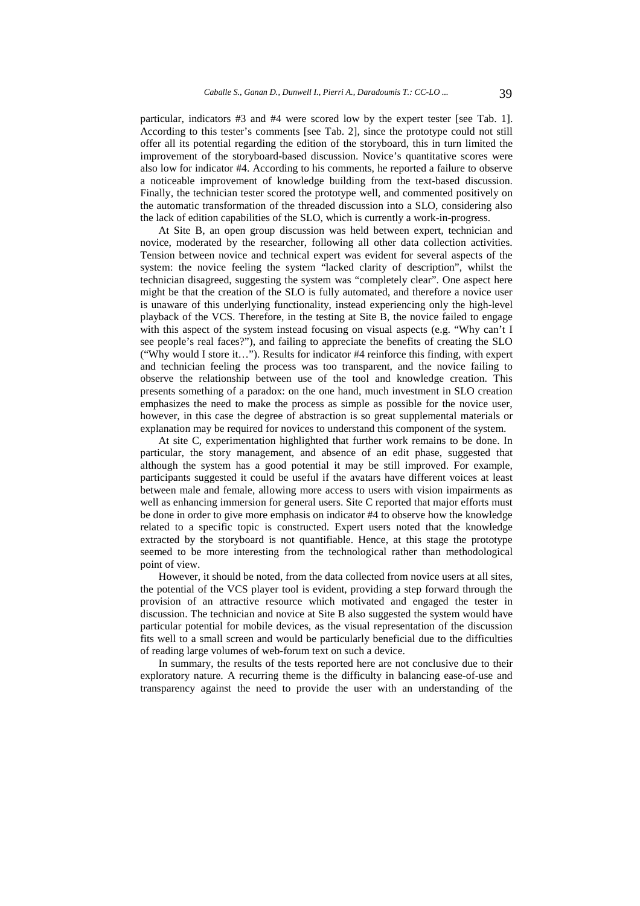particular, indicators #3 and #4 were scored low by the expert tester [see Tab. 1]. According to this tester's comments [see Tab. 2], since the prototype could not still offer all its potential regarding the edition of the storyboard, this in turn limited the improvement of the storyboard-based discussion. Novice's quantitative scores were also low for indicator #4. According to his comments, he reported a failure to observe a noticeable improvement of knowledge building from the text-based discussion. Finally, the technician tester scored the prototype well, and commented positively on the automatic transformation of the threaded discussion into a SLO, considering also the lack of edition capabilities of the SLO, which is currently a work-in-progress.

At Site B, an open group discussion was held between expert, technician and novice, moderated by the researcher, following all other data collection activities. Tension between novice and technical expert was evident for several aspects of the system: the novice feeling the system "lacked clarity of description", whilst the technician disagreed, suggesting the system was "completely clear". One aspect here might be that the creation of the SLO is fully automated, and therefore a novice user is unaware of this underlying functionality, instead experiencing only the high-level playback of the VCS. Therefore, in the testing at Site B, the novice failed to engage with this aspect of the system instead focusing on visual aspects (e.g. "Why can't I see people's real faces?"), and failing to appreciate the benefits of creating the SLO ("Why would I store it…"). Results for indicator #4 reinforce this finding, with expert and technician feeling the process was too transparent, and the novice failing to observe the relationship between use of the tool and knowledge creation. This presents something of a paradox: on the one hand, much investment in SLO creation emphasizes the need to make the process as simple as possible for the novice user, however, in this case the degree of abstraction is so great supplemental materials or explanation may be required for novices to understand this component of the system.

At site C, experimentation highlighted that further work remains to be done. In particular, the story management, and absence of an edit phase, suggested that although the system has a good potential it may be still improved. For example, participants suggested it could be useful if the avatars have different voices at least between male and female, allowing more access to users with vision impairments as well as enhancing immersion for general users. Site C reported that major efforts must be done in order to give more emphasis on indicator #4 to observe how the knowledge related to a specific topic is constructed. Expert users noted that the knowledge extracted by the storyboard is not quantifiable. Hence, at this stage the prototype seemed to be more interesting from the technological rather than methodological point of view.

However, it should be noted, from the data collected from novice users at all sites, the potential of the VCS player tool is evident, providing a step forward through the provision of an attractive resource which motivated and engaged the tester in discussion. The technician and novice at Site B also suggested the system would have particular potential for mobile devices, as the visual representation of the discussion fits well to a small screen and would be particularly beneficial due to the difficulties of reading large volumes of web-forum text on such a device.

In summary, the results of the tests reported here are not conclusive due to their exploratory nature. A recurring theme is the difficulty in balancing ease-of-use and transparency against the need to provide the user with an understanding of the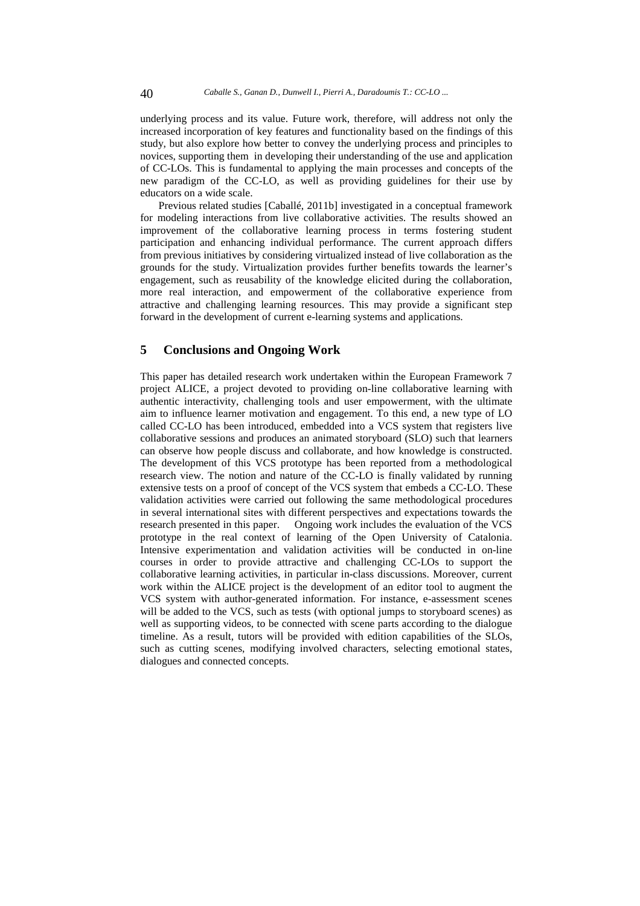underlying process and its value. Future work, therefore, will address not only the increased incorporation of key features and functionality based on the findings of this study, but also explore how better to convey the underlying process and principles to novices, supporting them in developing their understanding of the use and application of CC-LOs. This is fundamental to applying the main processes and concepts of the new paradigm of the CC-LO, as well as providing guidelines for their use by educators on a wide scale.

Previous related studies [Caballé, 2011b] investigated in a conceptual framework for modeling interactions from live collaborative activities. The results showed an improvement of the collaborative learning process in terms fostering student participation and enhancing individual performance. The current approach differs from previous initiatives by considering virtualized instead of live collaboration as the grounds for the study. Virtualization provides further benefits towards the learner's engagement, such as reusability of the knowledge elicited during the collaboration, more real interaction, and empowerment of the collaborative experience from attractive and challenging learning resources. This may provide a significant step forward in the development of current e-learning systems and applications.

# **5 Conclusions and Ongoing Work**

This paper has detailed research work undertaken within the European Framework 7 project ALICE, a project devoted to providing on-line collaborative learning with authentic interactivity, challenging tools and user empowerment, with the ultimate aim to influence learner motivation and engagement. To this end, a new type of LO called CC-LO has been introduced, embedded into a VCS system that registers live collaborative sessions and produces an animated storyboard (SLO) such that learners can observe how people discuss and collaborate, and how knowledge is constructed. The development of this VCS prototype has been reported from a methodological research view. The notion and nature of the CC-LO is finally validated by running extensive tests on a proof of concept of the VCS system that embeds a CC-LO. These validation activities were carried out following the same methodological procedures in several international sites with different perspectives and expectations towards the research presented in this paper. Ongoing work includes the evaluation of the VCS prototype in the real context of learning of the Open University of Catalonia. Intensive experimentation and validation activities will be conducted in on-line courses in order to provide attractive and challenging CC-LOs to support the collaborative learning activities, in particular in-class discussions. Moreover, current work within the ALICE project is the development of an editor tool to augment the VCS system with author-generated information. For instance, e-assessment scenes will be added to the VCS, such as tests (with optional jumps to storyboard scenes) as well as supporting videos, to be connected with scene parts according to the dialogue timeline. As a result, tutors will be provided with edition capabilities of the SLOs, such as cutting scenes, modifying involved characters, selecting emotional states, dialogues and connected concepts.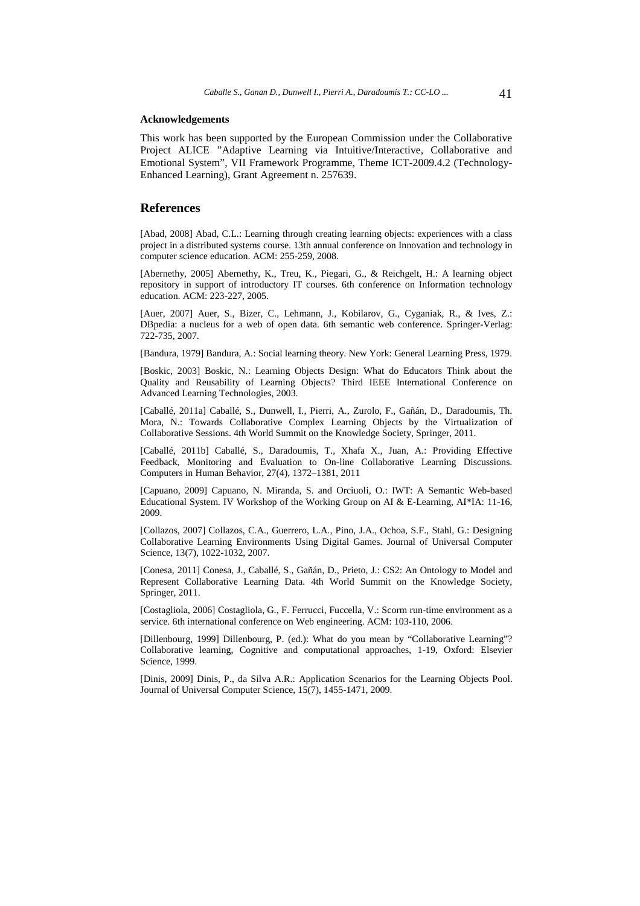#### **Acknowledgements**

This work has been supported by the European Commission under the Collaborative Project ALICE "Adaptive Learning via Intuitive/Interactive, Collaborative and Emotional System", VII Framework Programme, Theme ICT-2009.4.2 (Technology-Enhanced Learning), Grant Agreement n. 257639.

### **References**

[Abad, 2008] Abad, C.L.: Learning through creating learning objects: experiences with a class project in a distributed systems course. 13th annual conference on Innovation and technology in computer science education. ACM: 255-259, 2008.

[Abernethy, 2005] Abernethy, K., Treu, K., Piegari, G., & Reichgelt, H.: A learning object repository in support of introductory IT courses. 6th conference on Information technology education. ACM: 223-227, 2005.

[Auer, 2007] Auer, S., Bizer, C., Lehmann, J., Kobilarov, G., Cyganiak, R., & Ives, Z.: DBpedia: a nucleus for a web of open data. 6th semantic web conference. Springer-Verlag: 722-735, 2007.

[Bandura, 1979] Bandura, A.: Social learning theory. New York: General Learning Press, 1979.

[Boskic, 2003] Boskic, N.: Learning Objects Design: What do Educators Think about the Quality and Reusability of Learning Objects? Third IEEE International Conference on Advanced Learning Technologies, 2003.

[Caballé, 2011a] Caballé, S., Dunwell, I., Pierri, A., Zurolo, F., Gañán, D., Daradoumis, Th. Mora, N.: Towards Collaborative Complex Learning Objects by the Virtualization of Collaborative Sessions. 4th World Summit on the Knowledge Society, Springer, 2011.

[Caballé, 2011b] Caballé, S., Daradoumis, T., Xhafa X., Juan, A.: Providing Effective Feedback, Monitoring and Evaluation to On-line Collaborative Learning Discussions. Computers in Human Behavior, 27(4), 1372–1381, 2011

[Capuano, 2009] Capuano, N. Miranda, S. and Orciuoli, O.: IWT: A Semantic Web-based Educational System. IV Workshop of the Working Group on AI & E-Learning, AI\*IA: 11-16, 2009.

[Collazos, 2007] Collazos, C.A., Guerrero, L.A., Pino, J.A., Ochoa, S.F., Stahl, G.: Designing Collaborative Learning Environments Using Digital Games. Journal of Universal Computer Science, 13(7), 1022-1032, 2007.

[Conesa, 2011] Conesa, J., Caballé, S., Gañán, D., Prieto, J.: CS2: An Ontology to Model and Represent Collaborative Learning Data. 4th World Summit on the Knowledge Society, Springer, 2011.

[Costagliola, 2006] Costagliola, G., F. Ferrucci, Fuccella, V.: Scorm run-time environment as a service. 6th international conference on Web engineering. ACM: 103-110, 2006.

[Dillenbourg, 1999] Dillenbourg, P. (ed.): What do you mean by "Collaborative Learning"? Collaborative learning, Cognitive and computational approaches, 1-19, Oxford: Elsevier Science, 1999.

[Dinis, 2009] Dinis, P., da Silva A.R.: Application Scenarios for the Learning Objects Pool. Journal of Universal Computer Science, 15(7), 1455-1471, 2009.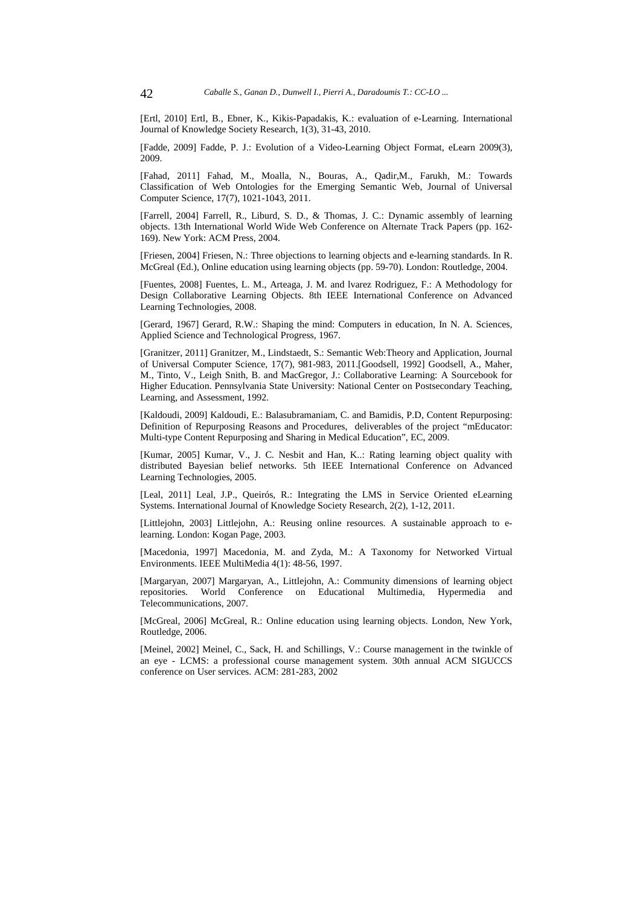[Ertl, 2010] Ertl, B., Ebner, K., Kikis-Papadakis, K.: evaluation of e-Learning. International Journal of Knowledge Society Research, 1(3), 31-43, 2010.

[Fadde, 2009] Fadde, P. J.: Evolution of a Video-Learning Object Format, eLearn 2009(3), 2009.

[Fahad, 2011] Fahad, M., Moalla, N., Bouras, A., Qadir,M., Farukh, M.: Towards Classification of Web Ontologies for the Emerging Semantic Web, Journal of Universal Computer Science, 17(7), 1021-1043, 2011.

[Farrell, 2004] Farrell, R., Liburd, S. D., & Thomas, J. C.: Dynamic assembly of learning objects. 13th International World Wide Web Conference on Alternate Track Papers (pp. 162- 169). New York: ACM Press, 2004.

[Friesen, 2004] Friesen, N.: Three objections to learning objects and e-learning standards. In R. McGreal (Ed.), Online education using learning objects (pp. 59-70). London: Routledge, 2004.

[Fuentes, 2008] Fuentes, L. M., Arteaga, J. M. and lvarez Rodriguez, F.: A Methodology for Design Collaborative Learning Objects. 8th IEEE International Conference on Advanced Learning Technologies, 2008.

[Gerard, 1967] Gerard, R.W.: Shaping the mind: Computers in education, In N. A. Sciences, Applied Science and Technological Progress, 1967.

[Granitzer, 2011] Granitzer, M., Lindstaedt, S.: Semantic Web:Theory and Application, Journal of Universal Computer Science, 17(7), 981-983, 2011.[Goodsell, 1992] Goodsell, A., Maher, M., Tinto, V., Leigh Snith, B. and MacGregor, J.: Collaborative Learning: A Sourcebook for Higher Education. Pennsylvania State University: National Center on Postsecondary Teaching, Learning, and Assessment, 1992.

[Kaldoudi, 2009] Kaldoudi, E.: Balasubramaniam, C. and Bamidis, P.D, Content Repurposing: Definition of Repurposing Reasons and Procedures, deliverables of the project "mEducator: Multi-type Content Repurposing and Sharing in Medical Education", EC, 2009.

[Kumar, 2005] Kumar, V., J. C. Nesbit and Han, K..: Rating learning object quality with distributed Bayesian belief networks. 5th IEEE International Conference on Advanced Learning Technologies, 2005.

[Leal, 2011] Leal, J.P., Queirós, R.: Integrating the LMS in Service Oriented eLearning Systems. International Journal of Knowledge Society Research, 2(2), 1-12, 2011.

[Littlejohn, 2003] Littlejohn, A.: Reusing online resources. A sustainable approach to elearning. London: Kogan Page, 2003.

[Macedonia, 1997] Macedonia, M. and Zyda, M.: A Taxonomy for Networked Virtual Environments. IEEE MultiMedia 4(1): 48-56, 1997.

[Margaryan, 2007] Margaryan, A., Littlejohn, A.: Community dimensions of learning object repositories. World Conference on Educational Multimedia, Hypermedia and Telecommunications, 2007.

[McGreal, 2006] McGreal, R.: Online education using learning objects. London, New York, Routledge, 2006.

[Meinel, 2002] Meinel, C., Sack, H. and Schillings, V.: Course management in the twinkle of an eye - LCMS: a professional course management system. 30th annual ACM SIGUCCS conference on User services. ACM: 281-283, 2002